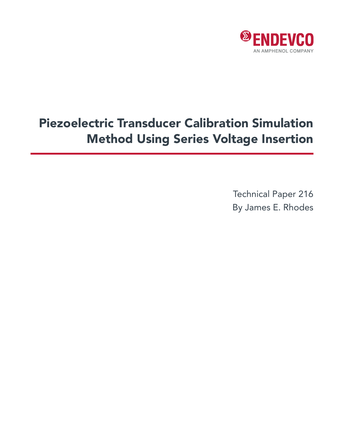

# Piezoelectric Transducer Calibration Simulation Method Using Series Voltage Insertion

Technical Paper 216 By James E. Rhodes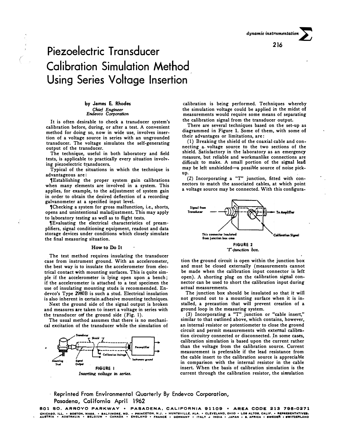# **Piezoelectric Transducer Calibration Simulation Method Using Series Voltage Insertion**

# **by James E. Rhodes** *Chief Engineer Endevco Corporation*

**It is often desirable to check a transducer system's calibration before, during, or after a test. A convenient**  method for doing so, now in wide use, involves inser**tion of a voltage source in series with an ungrounded transducer. The voltage simulates the self-generating output of the transducer.** 

**The technique, useful in both laboratory and field tests, is applicable to practically every situation involv**ing piezoelectric transducers.

**Typical of the situations in which the technique is advantageous are:** 

**1Establishing the proper system gain calibrations when many elements are involved in a system. This**  applies, for example, to the adjustment of system gain **in order to obtain the desired deflection of a recording galvanometer at a specified input level.** 

**1Checking a system for gross malfunction, i.e., shorts, opens and unintentional maladjustment. This may apply to laboratory testing as well as to flight tests.** 

**1Evaluating the electrical characteristics of preamplifiers, signal conditioning equipment, readout and data storage devices under conditions which closely simulate the final measuring situation.** 

#### **How to Do It**

**The test method requires insulating the transducer case from instrument ground. With an accelerometer, the best way is to insulate the accelerometer from electrical contact with mounting surfaces. This is quite simple if the accelerometer is lying open upon a bench; if the accelerometer is attached to a test specimen the use of insulating mounting studs is recommended. Endevco's Type 2980B is such a stud. Electrical insulation is also inherent in certain adhesive mounting techniques.** 

Next the ground side of the signal output is broken **and measures are taken to insert a voltage in series with the transducer orf the ground side (Fig. 1).** 

**The usual method assumes that there is no mechanical excitation of the transducer while the simulation of** 



**calibration is being performed. Techniques whereby the simulation voltage could be applied in the midst of measurements would require some means of separating the calibration signal from the transducer output.** 

**There are several techniques based on the set-up as diagrammed in Figure 1. Some of them, with some of their advantages or limitations, are:** 

**(1) Breaking the shield of the coaxial cable and connecting a voltage source to the two sections of the shield. Satisfactory in the laboratory as an emergency measure, but reliable and workmanlike connections are difficult to make. A small portion of the signal lead**  may be left unshielded-a possible source of noise pick**up.** 

**(2) Incorporating a "T" junction, fitted with connectors to match the associated cables, at which point a voltage source may be connected. With this configura-**



**tion the ground circuit is open within the junction box and must be closed externally (measurements cannot be made when the calibration input connector is left open). A shorting plug on the calibration signal connector can be used to short the calibration input during actual measurements.** 

**The junction box should be insulated so that it will not ground out to a mounting surface when it is installed, a precaution that will prevent creation of a ground loop in the measuring system.** 

**(3) Incorporating a "T" junction or "cable insert," similar to that outlined above, which contains, however,**  an internal resistor or potentiometer to close the ground **circuit and permit measurements with external calibration circuitry connected or disconnected. In some cases, calibration simulation is based upon the current rather than the voltage from the calibration source. Current measurement is preferable if the lead resistance from the cable insert to the calibration source is appreciable**  in comparison with the internal resistor in the cable insert. When the basis of calibration simulation is the **current through the calibration resistor, the simulation** 

**· Reprinted From Environmental Quarterly By Endevco Corporation, Pasadena, California April 1962**

801 SO. ARROYO PARKWAY • PASADENA, CALIFORNIA 91109 • AREA CODE 213 795-0271 CHICAGO, ILL. • BOSTON, MASS, • BALTIMORE, MD. • PRINCETON, N.J. • HUNTSVILLE. ALA. • CLEVLAND, OHIL » CHA PRERESENTATIVES, • BORTATIVES.<br>Austria • Australia • Belgium • Canada • England • France • Germany • Italy • India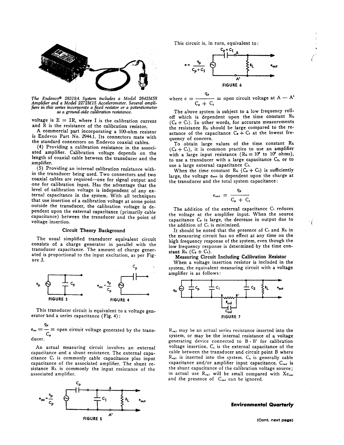

The Endevco<sup>®</sup> 28319A System includes a Model 2642M58<br>Amplifier and a Model 2272M15 Accelerometer. Several amplifiers in this series incorporate a fixed resistor or a potentiometer as a ground-side calibration resistance.

voltage is  $E = IR$ , where I is the calibration current and R is the resistance of the calibration resistor.

A commercial part incorporating a 100-ohm resistor is Endevco Part No. 2944.1. Its connectors mate with the standard connectors on Endevco coaxial cables.

(4) Providing a calibration resistance in the associated amplifier. Calibration voltage depends on the length of coaxial cable between the transducer and the amplifier.

(5) Providing an internal calibration resistance within the transducer being used. Two connectors and two coaxial cables are required-one for signal output and one for calibration input. Has the advantage that the level of calibration voltage is independent of any external capacitance in the system. With all techniques that use insertion of a calibration voltage at some point outside the transducer, the calibration voltage is dependent upon the external capacitance (primarily cable capacitance) between the transducer and the point of voltage insertion.

## Circuit Theory Background

The usual simplified transducer equivalent circuit consists of a charge generator in parallel with the transducer capacitance. The amount of charge generated is proportional to the input excitation, as per Fig $ure<sub>3</sub>$ .



This transducer circuit is equivalent to a voltage generator and a series capacitance (Fig. 4):

 $e_{\circ e} = \frac{P}{C_p}$  = open circuit voltage generated by the transducer.

An actual measuring circuit involves an external capacitance and a shunt resistance. The external capacitance C<sub>1</sub> is commonly cable capacitance plus input capacitance of the associated amplifier. The shunt resistance RL is commonly the input resistance of the associated amplifier.



This circuit is, in turn, equivalent to:



where  $e = \frac{q_p}{C_p + C_1}$  = open circuit voltage at A - A<sup>t</sup>

The above system is subject to a low frequency rolloff which is dependent upon the time constant RL  $(C_{p} + C_{1})$ . In other words, for accurate measurements the resistance RL should be large compared to the reactance of the capacitance  $C_p + C_1$  at the lowest frequency of concern.

To obtain large values of the time constant RL  $(C_{P} + C_{1})$ , it is common practice to use an amplifier with a large input resistance ( $R_L = 10^8$  to 10° ohms), to use a transducer with a large capacitance C,, or to use a large external capacitance C1.

When the time constant R<sub>L</sub> ( $C_P + C_1$ ) is sufficiently large, the voltage eout is dependent upon the charge at the transducer and the total system capacitance:

$$
e_{\text{out}} = \frac{q_{\text{p}}}{C_{\text{p}} + C_{\text{i}}}
$$

The addition of the external capacitance C<sub>1</sub> reduces the voltage at the amplifier input. When the source. capacitance C<sub>p</sub> is large, the decrease in output due to the addition of C<sub>1</sub> is minimized.

It should be noted that the presence of C<sub>1</sub> and R<sub>L</sub> in the measuring circuit has no effect at any time on the high frequency response of the system, even though the low frequency response is determined by the time constant  $R_L$  ( $C_p + C_1$ ).

Measuring Circuit Including Calibration Resistor

When a voltage insertion resistor is included in the system, the equivalent measuring circuit with a voltage amplifier is as follows:



 $R_{\text{cal}}$  may be an actual series resistance inserted into the system, or may be the internal resistance of a voltage generating device connected to B-B' for calibration voltage insertion.  $C_1$  is the external capacitance of the cable between the transducer and circuit point B where  $R_{cal}$  is inserted into the system.  $C_2$  is generally cable capacitance and/or amplifier input capacitance. C<sub>cal</sub> is the shunt capacitance of the calibration voltage source; in actual use R<sub>cal</sub> will be small compared with Xc<sub>cal</sub> and the presence of C<sub>cal</sub> can be ignored.

#### **Environmental Quarterly**

ा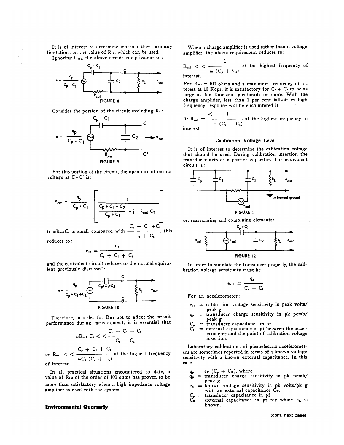It is of interest to determine whether there are any limitations on the value of Real which can be used. Ignoring C<sub>cal</sub>, the above circuit is equivalent to:





Consider the portion of the circuit excluding RL:



For this portion of the circuit, the open circuit output voltage at  $C - C'$  is:

$$
\bullet_{oc} = \frac{\ }{c_{p} + c_{1}} \left[ \frac{1}{\frac{c_{p} + c_{1} + c_{2}}{c_{p} + c_{1}} + i \quad R_{col} c_{2}} \right]
$$

if  $\omega R_{\text{ea}}C_{\text{e}}$  is small compared with  $\frac{C_{\text{e}}}{C_{\text{e}} + C_{\text{e}}}$ , this

reduces to:

$$
e_{\alpha e} = \frac{4P}{C_p + C_1 + C_s}
$$

and the equivalent circuit reduces to the normal equivalent previously discussed:



Therefore, in order for Real not to affect the circuit performance during measurement, it is essential that

$$
{}_{0}R_{c1} C_{2} < \frac{C_{p} + C_{1} + C_{2}}{C_{p} + C_{1}}
$$

or  $R_{\text{cal}} < \frac{C_p + C_1 + C_2}{\omega C_2 (C_p + C_1)}$  at the highest frequency of interest.

In all practical situations encountered to date, a value of Res of the order of 100 ohms has proven to be more than satisfactory when a high impedance voltage amplifier is used with the system.

### **Environmental Quarterly**

 $\alpha$ 

When a charge amplifier is used rather than a voltage amplifier, the above requirement reduces to:

 $R_{\text{cal}} <$   $< \frac{1}{\omega (C_p + C_1)}$  at the highest frequency of

For  $\mathrm{Re}u = 100$  ohms and a maximum frequency of interest at 10 Kcps, it is satisfactory for  $C_p + C_1$  to be as large as ten thousand picofarads or more. With the charge amplifier, less than 1 per cent fall-off in high frequency response will be encountered if

10 R<sub>cal</sub> =  $\frac{1}{\omega (C_+ + C_1)}$  at the highest frequency of interest.

### Calibration Voltage Level

It is of interest to determine the calibration voltage that should be used. During calibration insertion the transducer acts as a passive capacitor. The equivalent circuit is:



or, rearranging and combining elements:



In order to simulate the transducer properly, the calibration voltage sensitivity must be

$$
e_{ext} = \frac{q_p}{C_p + C_1}
$$

For an accelerometer:

- $e_{c1}$  = calibration voltage sensitivity in peak volts/ peak g
- = transducer charge sensitivity in pk pcmb/ peak  $g$ <br>= transducer capacitance in pf
- - = external capacitance in pf between the accelerometer and the point of calibration voltage insertion.

Laboratory calibrations of piezoelectric accelerometers are sometimes reported in terms of a known voltage sensitivity with a known external capacitance. In this case

- 
- $q_p = e_x (C_p + C_x)$ , where<br>  $q_p =$  transducer charge sensitivity in pk pcmb/
- $q_p$  = transumer enarge sensitivity in pk volts/pk g<br>  $e_g$  = known voltage sensitivity in pk volts/pk g<br>
with an external capacitance  $C_g$ .<br>  $C_g$  = external capacitance in pf<br>  $C_g$  = external capacitance in pf for which
- 
- known.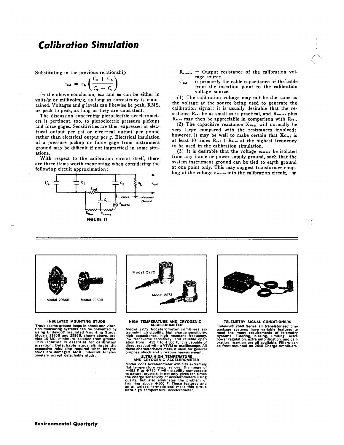# **Calibration Simulation**

Substituting in the previous relationship

$$
e_{\alpha 1} = e_{\mathbf{x}} \left( \frac{C_{\mathbf{p}} + C_{\mathbf{x}}}{C_{\mathbf{p}} + C_{\mathbf{x}}} \right)
$$

In the above conclusion, e.m. and ex can be either in volts/g or millivolts/g, as long as consistency is maintained. Voltages and g levels can likewise be peak, RMS, or peak-to-peak, as long as they are consistent.

The discussion concerning piezoelectric accelerometers is pertinent, too, to piezoelectric pressure pickups and force gages. Sensitivities are then expressed in electrical output per psi or electrical output per pound rather than electrical output per g. Electrical insulation of a pressure pickup or force gage from instrument ground may be difficult if not impractical in some situations.

With respect to the calibration circuit itself, there are three items worth mentioning when considering the following circuit approximation:



 $R_{source}$  = Output resistance of the calibration voltage source.

 $C_{\epsilon-1}$ is primarily the cable capacitance of the cable from the insertion point to the calibration voltage source.

(1) The calibration voltage may not be the same as the voltage at the source being used to generate the calibration signal; it is usually desirable that the resistance Real be as small as is practical, and Rsource plus R11ne may then be appreciable in comparison with Real.

(2) The capacitive reactance  $X_{c_{01}}$  will normally be very large compared with the resistances involved; however, it may be well to make certain that Xc.al is at least 10 times  $R_{\text{rel}} + R_{\text{ll}}$  at the highest frequency to be used in the calibration simulation.

(3) It is desirable that the voltage esoures be isolated from any frame or power supply ground, such that the system instrument ground can be tied to earth ground at one point only. This may suggest transformer coupling of the voltage essesses into the calibration circuit.  $#$ 



#### **INSULATED MOUNTING STUDS**

INSULATED MOUNTING STUDS<br>Troublesome ground loops in shock and vibra-<br>tion measuring systems can be prevented by<br>using Endevco® Insulated Mounting Studs.<br>Models 2980B and 2986B, shown above, pro-<br>vide 10 M0, minimum isolat



# HIGH TEMPERATURE AND CRYOGENIC<br>ACCELEROMETER

Model 2272 Acceler ROMETER<br>
ACCELEROMETER<br>
tremely high stability, high charge sensitivity,<br>
high capacitance, high response trequency,<br>
low transverse sensitivity, and reliable oper-<br>
ation from  $-452$  F to  $+500$  F. It

## ULTRA-HIGH TEMPERATURE<br>AND CRYOGENIC ACCELEROMETER

AND CRYOGENIC ACCELEROMETER<br>Model 2273 Accelerometer exhibits extremely<br>flat temperature response over the range of<br> $-452$  F to +750 F with stability comparable<br>to natural crystals. It not only gives ten times<br>the charge s



÷f

# TELEMETRY SIGNAL CONDITIONERS

Final Content Particular Content Properties and transistorized one-<br>package systems have variable features to the many requirements of telemetry<br>systems. Filtering, biasing, limiting, extra<br>power regulation, extra amplific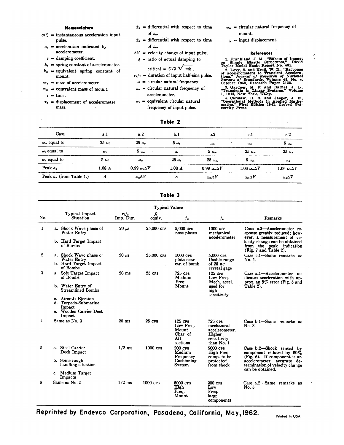#### Nomenclature

- $a(t)$  = instantaneous acceleration input pulse.
- $a_a$  = acceleration indicated by accelerometer.
- $c =$  damping coefficient.
- $k_a$  = spring constant of accelerometer.
- $k_m$  = equivalent spring constant of
- mount.
- $m_a$  = mass of accelerometer.
- $m_m$  = equivalent mass of mount.
	- $t = time.$
- $x_a$  = displacement of accelerometer mass.
- $\dot{x}_a$  = differential with respect to time of  $x_a$ .
- $\bar{x}_s$  = differential with respect to time of  $\dot{x}_a$ .
- $\Delta V$  = velocity change of input pulse.
- $\xi$  = ratio of actual damping to

$$
critical = C/2 \sqrt{mk}
$$

- $\tau_i$ /2 = duration of input half-sine pulse.
	- $\omega$  = circular natural frequency.
- $\omega_a$  = circular natural frequency of accelerometer.
- $\omega_i$  = equivalent circular natural frequency of input pulse.
- $\omega_m$  = circular natural frequency of mount.
- $y =$  input displacement.

### **References**

References<br>
1. Frankland, J. M., "Effectives," David<br>
on Simple Elastic Structures," David<br>
Taylor Model Basin Report No. 481.<br>
2. Levy, S. and Kroll, W. D., "Response<br>
of accelerometrs to Translett.<br>
2. Levy, S. and Kroll

- 
- 

## Table 2

| Case                       | a.1          | a. 2                            | b.1          | b.2                        | c.l                        | c.2                      |
|----------------------------|--------------|---------------------------------|--------------|----------------------------|----------------------------|--------------------------|
| $\omega_m$ equal to        | $25\omega_i$ | $25\omega_c$                    | $5\omega_i$  | $\omega_m$                 | $\omega_{m}$               | 5ω.                      |
| $\omega_i$ equal to        | $\omega_i$   | $5 \omega_a$                    | $\omega_i$   | $5 \omega_m$               | $25 \omega_m$              | $25\omega_a$             |
| $\omega_a$ equal to        | 5ω.          | $\omega_{\alpha}$               | $25\omega_i$ | $25 \omega_m$              | $5 \omega_m$               | $\omega_a$               |
| Peak $a_a$                 | 1.08A        | $0.99 \omega_{\alpha} \Delta V$ | 1.08A        | $0.99 \omega_{m} \Delta V$ | $1.06 \omega_{m} \Delta V$ | 1.06 $\omega_a \Delta V$ |
| Peak $a_a$ (from Table 1.) | Α            | $\omega_a\Delta V$              | л            | $\omega_m \Delta V$        | $\omega_m \Delta V$        | $\omega_a \Delta V$      |

|     | <b>Typical Values</b>                                  |                            |               |                                                                   |                                                                                |                                                                                                                                                                              |  |  |  |  |  |
|-----|--------------------------------------------------------|----------------------------|---------------|-------------------------------------------------------------------|--------------------------------------------------------------------------------|------------------------------------------------------------------------------------------------------------------------------------------------------------------------------|--|--|--|--|--|
| No. | Typical Impact<br>Situation                            | $\tau_i/\tau$<br>Imp. Dur. | Ji.<br>equiv. | $f_m$                                                             | $f_{\bullet}$                                                                  | Remarks                                                                                                                                                                      |  |  |  |  |  |
| 1   | a. Shock Wave phase of<br>Water Entry                  | $20 \mu s$                 | 25,000 CPS    | 5,000 CPS<br>nose plates                                          | 1000 crs<br>mechanical<br>accelerometer                                        | Case c.2-Accelerometer re-<br>sponse greatly reduced; how-<br>ever, a measurement of ve-                                                                                     |  |  |  |  |  |
|     | b. Hard Target Impact<br>of Bombs                      |                            |               |                                                                   |                                                                                | locity change can be obtained<br>from the peak indication<br>(Fig. 7 and Table 2).                                                                                           |  |  |  |  |  |
| 2   | a. Shock Wave phase of<br>Water Entry                  | $20 \mu s$                 | 25,000 CPS    | $1000$ $\text{cps}$<br>plate near                                 | $5.000$ CPS<br>Usable range                                                    | Case c.1-Same remarks as<br>No. 1.                                                                                                                                           |  |  |  |  |  |
|     | b. Hard Target Impact<br>of Bombs                      |                            |               | ctr. of bomb                                                      | of 25 KC<br>crystal gage                                                       |                                                                                                                                                                              |  |  |  |  |  |
| 3   | a. Soft Target Impact<br>of Bombs                      | $20$ ms                    | $25$ CPS      | $725$ CPS<br>Medium<br>Freq.                                      | $125$ CPS<br>Low Freq.<br>Mech. accel.                                         | Case a.1-Accelerometer in-<br>dicates acceleration with ap-<br>prox. an $8\%$ error (Fig. 5 and                                                                              |  |  |  |  |  |
|     | b. Water Entry of<br><b>Streamlined Bombs</b>          |                            |               | Mount                                                             | used for<br>high<br>sensitivity                                                | Table 2).                                                                                                                                                                    |  |  |  |  |  |
|     | c. Aircraft Ejection<br>d. Torpedo-Submarine<br>Impact |                            |               |                                                                   |                                                                                |                                                                                                                                                                              |  |  |  |  |  |
|     | e. Wooden Carrier Deck<br>Impact                       |                            |               |                                                                   |                                                                                |                                                                                                                                                                              |  |  |  |  |  |
| 4   | Same as No. 3                                          | $20$ ms                    | <b>25 CPS</b> | 125 CPS<br>Low Freq.<br>Mount<br>Char. of<br>Aft<br>sections      | 725 CPS<br>mechanical<br>accelerometer.<br>Higher<br>sensitivity<br>than No. 1 | Case b.1-Same remarks as<br>No. 3.                                                                                                                                           |  |  |  |  |  |
| 5   | a. Steel Carrier<br>Deck Impact                        | $1/2$ ms                   | 1000 CPS      | $200$ $CPS$<br>Medium<br>Frequency<br>Cushioning<br><b>System</b> | 5000 CPS<br>High Freq<br>comp. to be<br>protected<br>from shock                | Case b.2-Shock sensed by<br>component reduced by $60\%$<br>(Fig. 6). If component is an<br>accelerometer, accurate de-<br>termination of velocity change<br>can be obtained. |  |  |  |  |  |
|     | b. Some rough<br>handling situation                    |                            |               |                                                                   |                                                                                |                                                                                                                                                                              |  |  |  |  |  |
|     | c. Medium Target<br>Impacts                            |                            |               |                                                                   |                                                                                |                                                                                                                                                                              |  |  |  |  |  |
| 6   | Same as No. 5                                          | $1/2$ ms                   | $1000$ $CPS$  | 5000 CPS<br>High<br>Freq.<br>Mount                                | 200 cps<br>Low<br>Freq.<br>large<br>components                                 | Case a.2-Same remarks as<br>No. 5.                                                                                                                                           |  |  |  |  |  |

## Table 3